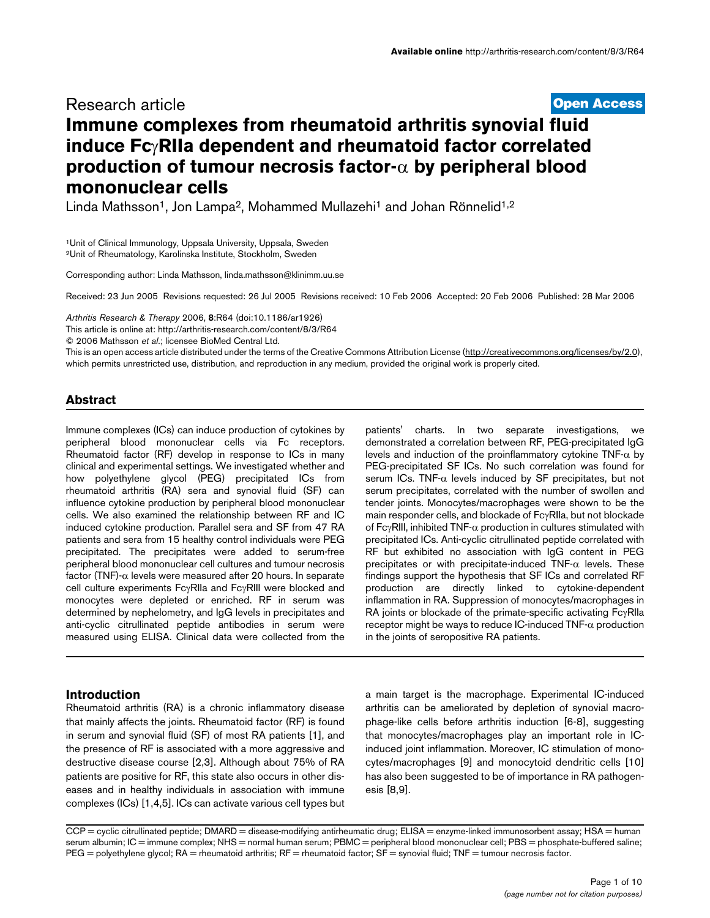# Research article

**[Open Access](http://www.biomedcentral.com/info/about/charter/)**

# **Immune complexes from rheumatoid arthritis synovial fluid induce Fc**γ**RIIa dependent and rheumatoid factor correlated production of tumour necrosis factor-**α **by peripheral blood mononuclear cells**

Linda Mathsson<sup>1</sup>, Jon Lampa<sup>2</sup>, Mohammed Mullazehi<sup>1</sup> and Johan Rönnelid<sup>1,2</sup>

1Unit of Clinical Immunology, Uppsala University, Uppsala, Sweden 2Unit of Rheumatology, Karolinska Institute, Stockholm, Sweden

Corresponding author: Linda Mathsson, linda.mathsson@klinimm.uu.se

Received: 23 Jun 2005 Revisions requested: 26 Jul 2005 Revisions received: 10 Feb 2006 Accepted: 20 Feb 2006 Published: 28 Mar 2006

*Arthritis Research & Therapy* 2006, **8**:R64 (doi:10.1186/ar1926)

[This article is online at: http://arthritis-research.com/content/8/3/R64](http://arthritis-research.com/content/8/3/R64)

© 2006 Mathsson *et al*.; licensee BioMed Central Ltd.

This is an open access article distributed under the terms of the Creative Commons Attribution License [\(http://creativecommons.org/licenses/by/2.0\)](http://creativecommons.org/licenses/by/2.0), which permits unrestricted use, distribution, and reproduction in any medium, provided the original work is properly cited.

#### **Abstract**

Immune complexes (ICs) can induce production of cytokines by peripheral blood mononuclear cells via Fc receptors. Rheumatoid factor (RF) develop in response to ICs in many clinical and experimental settings. We investigated whether and how polyethylene glycol (PEG) precipitated ICs from rheumatoid arthritis (RA) sera and synovial fluid (SF) can influence cytokine production by peripheral blood mononuclear cells. We also examined the relationship between RF and IC induced cytokine production. Parallel sera and SF from 47 RA patients and sera from 15 healthy control individuals were PEG precipitated. The precipitates were added to serum-free peripheral blood mononuclear cell cultures and tumour necrosis factor (TNF)-α levels were measured after 20 hours. In separate cell culture experiments FcγRIIa and FcγRIII were blocked and monocytes were depleted or enriched. RF in serum was determined by nephelometry, and IgG levels in precipitates and anti-cyclic citrullinated peptide antibodies in serum were measured using ELISA. Clinical data were collected from the

#### **Introduction**

Rheumatoid arthritis (RA) is a chronic inflammatory disease that mainly affects the joints. Rheumatoid factor (RF) is found in serum and synovial fluid (SF) of most RA patients [1], and the presence of RF is associated with a more aggressive and destructive disease course [2,3]. Although about 75% of RA patients are positive for RF, this state also occurs in other diseases and in healthy individuals in association with immune complexes (ICs) [1,4,5]. ICs can activate various cell types but

patients' charts. In two separate investigations, we demonstrated a correlation between RF, PEG-precipitated IgG levels and induction of the proinflammatory cytokine TNF-α by PEG-precipitated SF ICs. No such correlation was found for serum ICs. TNF- $\alpha$  levels induced by SF precipitates, but not serum precipitates, correlated with the number of swollen and tender joints. Monocytes/macrophages were shown to be the main responder cells, and blockade of FcγRIIa, but not blockade of FcγRIII, inhibited TNF- $α$  production in cultures stimulated with precipitated ICs. Anti-cyclic citrullinated peptide correlated with RF but exhibited no association with IgG content in PEG precipitates or with precipitate-induced TNF- $\alpha$  levels. These findings support the hypothesis that SF ICs and correlated RF production are directly linked to cytokine-dependent inflammation in RA. Suppression of monocytes/macrophages in RA joints or blockade of the primate-specific activating FcγRIIa receptor might be ways to reduce IC-induced TNF- $\alpha$  production in the joints of seropositive RA patients.

a main target is the macrophage. Experimental IC-induced arthritis can be ameliorated by depletion of synovial macrophage-like cells before arthritis induction [6-8], suggesting that monocytes/macrophages play an important role in ICinduced joint inflammation. Moreover, IC stimulation of monocytes/macrophages [9] and monocytoid dendritic cells [10] has also been suggested to be of importance in RA pathogenesis [8,9].

CCP = cyclic citrullinated peptide; DMARD = disease-modifying antirheumatic drug; ELISA = enzyme-linked immunosorbent assay; HSA = human serum albumin; IC = immune complex; NHS = normal human serum; PBMC = peripheral blood mononuclear cell; PBS = phosphate-buffered saline; PEG = polyethylene glycol; RA = rheumatoid arthritis; RF = rheumatoid factor; SF = synovial fluid; TNF = tumour necrosis factor.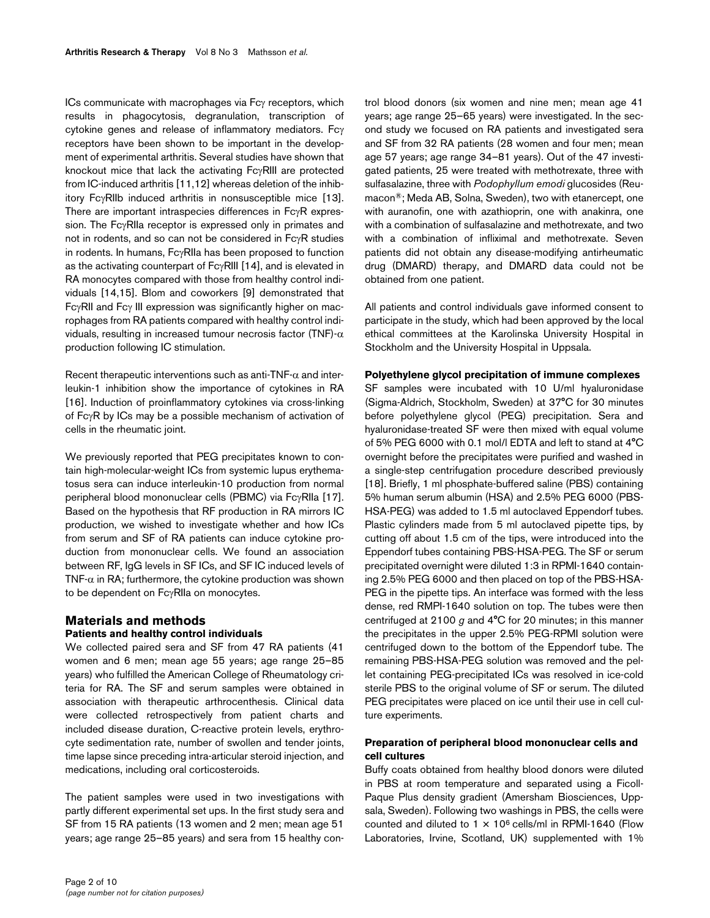ICs communicate with macrophages via Fcγ receptors, which results in phagocytosis, degranulation, transcription of cytokine genes and release of inflammatory mediators. Fcγ receptors have been shown to be important in the development of experimental arthritis. Several studies have shown that knockout mice that lack the activating FcγRIII are protected from IC-induced arthritis [11,12] whereas deletion of the inhibitory FcγRIIb induced arthritis in nonsusceptible mice [13]. There are important intraspecies differences in FcγR expression. The FcγRIIa receptor is expressed only in primates and not in rodents, and so can not be considered in FcγR studies in rodents. In humans, FcγRIIa has been proposed to function as the activating counterpart of FcγRIII [14], and is elevated in RA monocytes compared with those from healthy control individuals [14,15]. Blom and coworkers [9] demonstrated that FcγRII and Fcγ III expression was significantly higher on macrophages from RA patients compared with healthy control individuals, resulting in increased tumour necrosis factor (TNF)-α production following IC stimulation.

Recent therapeutic interventions such as anti-TNF- $\alpha$  and interleukin-1 inhibition show the importance of cytokines in RA [16]. Induction of proinflammatory cytokines via cross-linking of FcγR by ICs may be a possible mechanism of activation of cells in the rheumatic joint.

We previously reported that PEG precipitates known to contain high-molecular-weight ICs from systemic lupus erythematosus sera can induce interleukin-10 production from normal peripheral blood mononuclear cells (PBMC) via FcγRIIa [17]. Based on the hypothesis that RF production in RA mirrors IC production, we wished to investigate whether and how ICs from serum and SF of RA patients can induce cytokine production from mononuclear cells. We found an association between RF, IgG levels in SF ICs, and SF IC induced levels of TNF- $\alpha$  in RA; furthermore, the cytokine production was shown to be dependent on FcγRIIa on monocytes.

#### **Materials and methods Patients and healthy control individuals**

We collected paired sera and SF from 47 RA patients (41 women and 6 men; mean age 55 years; age range 25–85 years) who fulfilled the American College of Rheumatology criteria for RA. The SF and serum samples were obtained in association with therapeutic arthrocenthesis. Clinical data were collected retrospectively from patient charts and included disease duration, C-reactive protein levels, erythrocyte sedimentation rate, number of swollen and tender joints, time lapse since preceding intra-articular steroid injection, and medications, including oral corticosteroids.

The patient samples were used in two investigations with partly different experimental set ups. In the first study sera and SF from 15 RA patients (13 women and 2 men; mean age 51 years; age range 25–85 years) and sera from 15 healthy control blood donors (six women and nine men; mean age 41 years; age range 25–65 years) were investigated. In the second study we focused on RA patients and investigated sera and SF from 32 RA patients (28 women and four men; mean age 57 years; age range 34–81 years). Out of the 47 investigated patients, 25 were treated with methotrexate, three with sulfasalazine, three with *Podophyllum emodi* glucosides (Reumacon®; Meda AB, Solna, Sweden), two with etanercept, one with auranofin, one with azathioprin, one with anakinra, one with a combination of sulfasalazine and methotrexate, and two with a combination of infliximal and methotrexate. Seven patients did not obtain any disease-modifying antirheumatic drug (DMARD) therapy, and DMARD data could not be obtained from one patient.

All patients and control individuals gave informed consent to participate in the study, which had been approved by the local ethical committees at the Karolinska University Hospital in Stockholm and the University Hospital in Uppsala.

#### **Polyethylene glycol precipitation of immune complexes**

SF samples were incubated with 10 U/ml hyaluronidase (Sigma-Aldrich, Stockholm, Sweden) at 37°C for 30 minutes before polyethylene glycol (PEG) precipitation. Sera and hyaluronidase-treated SF were then mixed with equal volume of 5% PEG 6000 with 0.1 mol/l EDTA and left to stand at 4°C overnight before the precipitates were purified and washed in a single-step centrifugation procedure described previously [18]. Briefly, 1 ml phosphate-buffered saline (PBS) containing 5% human serum albumin (HSA) and 2.5% PEG 6000 (PBS-HSA-PEG) was added to 1.5 ml autoclaved Eppendorf tubes. Plastic cylinders made from 5 ml autoclaved pipette tips, by cutting off about 1.5 cm of the tips, were introduced into the Eppendorf tubes containing PBS-HSA-PEG. The SF or serum precipitated overnight were diluted 1:3 in RPMI-1640 containing 2.5% PEG 6000 and then placed on top of the PBS-HSA-PEG in the pipette tips. An interface was formed with the less dense, red RMPI-1640 solution on top. The tubes were then centrifuged at 2100 *g* and 4°C for 20 minutes; in this manner the precipitates in the upper 2.5% PEG-RPMI solution were centrifuged down to the bottom of the Eppendorf tube. The remaining PBS-HSA-PEG solution was removed and the pellet containing PEG-precipitated ICs was resolved in ice-cold sterile PBS to the original volume of SF or serum. The diluted PEG precipitates were placed on ice until their use in cell culture experiments.

#### **Preparation of peripheral blood mononuclear cells and cell cultures**

Buffy coats obtained from healthy blood donors were diluted in PBS at room temperature and separated using a Ficoll-Paque Plus density gradient (Amersham Biosciences, Uppsala, Sweden). Following two washings in PBS, the cells were counted and diluted to  $1 \times 10^6$  cells/ml in RPMI-1640 (Flow Laboratories, Irvine, Scotland, UK) supplemented with 1%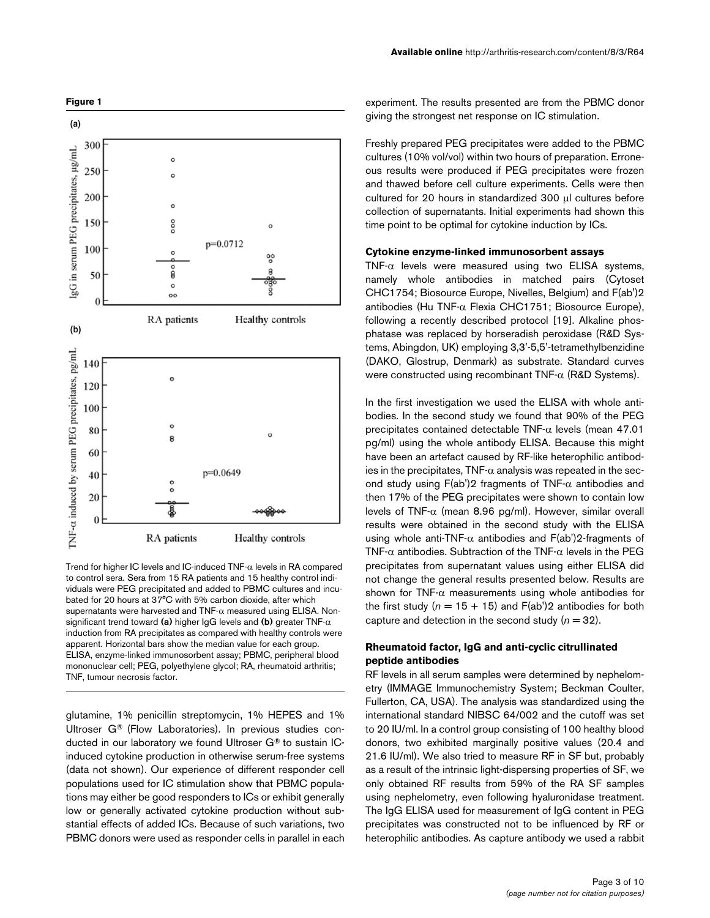



Trend for higher IC levels and IC-induced TNF- $\alpha$  levels in RA compared to control sera. Sera from 15 RA patients and 15 healthy control individuals were PEG precipitated and added to PBMC cultures and incubated for 20 hours at 37°C with 5% carbon dioxide, after which supernatants were harvested and  $TNF-\alpha$  measured using ELISA. Nonsignificant trend toward **(a)** higher IgG levels and **(b)** greater TNF-α induction from RA precipitates as compared with healthy controls were apparent. Horizontal bars show the median value for each group. ELISA, enzyme-linked immunosorbent assay; PBMC, peripheral blood mononuclear cell; PEG, polyethylene glycol; RA, rheumatoid arthritis; TNF, tumour necrosis factor.

glutamine, 1% penicillin streptomycin, 1% HEPES and 1% Ultroser G® (Flow Laboratories). In previous studies conducted in our laboratory we found Ultroser G® to sustain ICinduced cytokine production in otherwise serum-free systems (data not shown). Our experience of different responder cell populations used for IC stimulation show that PBMC populations may either be good responders to ICs or exhibit generally low or generally activated cytokine production without substantial effects of added ICs. Because of such variations, two PBMC donors were used as responder cells in parallel in each experiment. The results presented are from the PBMC donor giving the strongest net response on IC stimulation.

Freshly prepared PEG precipitates were added to the PBMC cultures (10% vol/vol) within two hours of preparation. Erroneous results were produced if PEG precipitates were frozen and thawed before cell culture experiments. Cells were then cultured for 20 hours in standardized 300 µl cultures before collection of supernatants. Initial experiments had shown this time point to be optimal for cytokine induction by ICs.

## **Cytokine enzyme-linked immunosorbent assays**

TNF- $\alpha$  levels were measured using two ELISA systems, namely whole antibodies in matched pairs (Cytoset CHC1754; Biosource Europe, Nivelles, Belgium) and F(ab')2 antibodies (Hu TNF-α Flexia CHC1751; Biosource Europe), following a recently described protocol [19]. Alkaline phosphatase was replaced by horseradish peroxidase (R&D Systems, Abingdon, UK) employing 3,3'-5,5'-tetramethylbenzidine (DAKO, Glostrup, Denmark) as substrate. Standard curves were constructed using recombinant TNF-α (R&D Systems).

In the first investigation we used the ELISA with whole antibodies. In the second study we found that 90% of the PEG precipitates contained detectable TNF-α levels (mean 47.01 pg/ml) using the whole antibody ELISA. Because this might have been an artefact caused by RF-like heterophilic antibodies in the precipitates,  $TNF-\alpha$  analysis was repeated in the second study using  $F(ab')$ 2 fragments of TNF- $\alpha$  antibodies and then 17% of the PEG precipitates were shown to contain low levels of TNF-α (mean 8.96 pg/ml). However, similar overall results were obtained in the second study with the ELISA using whole anti-TNF- $\alpha$  antibodies and F(ab')2-fragments of TNF- $\alpha$  antibodies. Subtraction of the TNF- $\alpha$  levels in the PEG precipitates from supernatant values using either ELISA did not change the general results presented below. Results are shown for TNF- $\alpha$  measurements using whole antibodies for the first study ( $n = 15 + 15$ ) and  $F(ab')$ 2 antibodies for both capture and detection in the second study  $(n = 32)$ .

#### **Rheumatoid factor, IgG and anti-cyclic citrullinated peptide antibodies**

RF levels in all serum samples were determined by nephelometry (IMMAGE Immunochemistry System; Beckman Coulter, Fullerton, CA, USA). The analysis was standardized using the international standard NIBSC 64/002 and the cutoff was set to 20 IU/ml. In a control group consisting of 100 healthy blood donors, two exhibited marginally positive values (20.4 and 21.6 IU/ml). We also tried to measure RF in SF but, probably as a result of the intrinsic light-dispersing properties of SF, we only obtained RF results from 59% of the RA SF samples using nephelometry, even following hyaluronidase treatment. The IgG ELISA used for measurement of IgG content in PEG precipitates was constructed not to be influenced by RF or heterophilic antibodies. As capture antibody we used a rabbit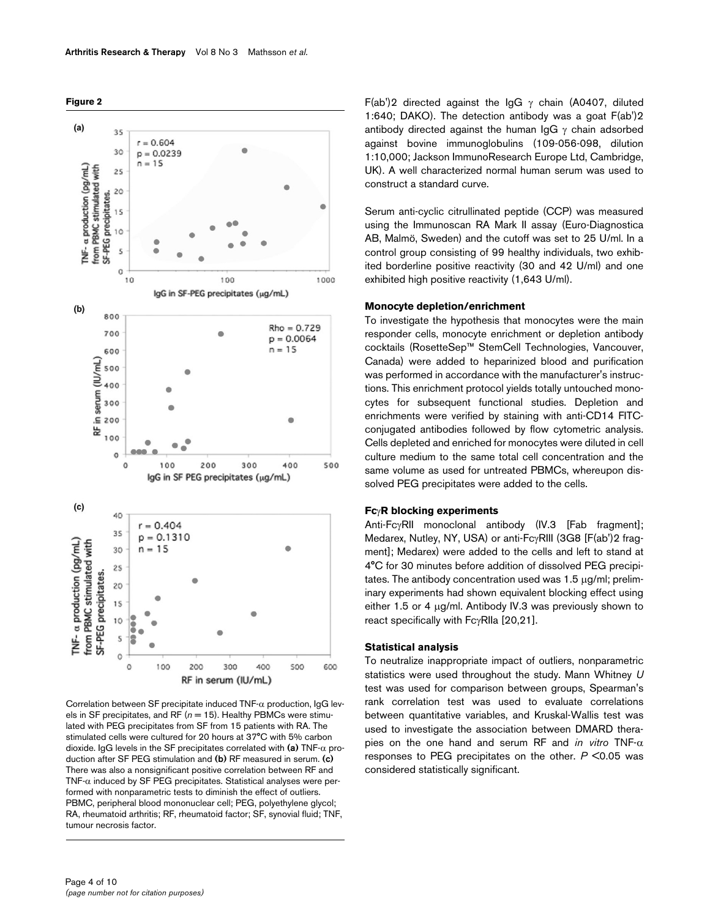



Correlation between SF precipitate induced TNF-α production, IgG levels in SF precipitates, and RF ( $n = 15$ ). Healthy PBMCs were stimulated with PEG precipitates from SF from 15 patients with RA. The stimulated cells were cultured for 20 hours at 37°C with 5% carbon dioxide. IgG levels in the SF precipitates correlated with **(a)** TNF-α production after SF PEG stimulation and **(b)** RF measured in serum. **(c)**  There was also a nonsignificant positive correlation between RF and TNF- $\alpha$  induced by SF PEG precipitates. Statistical analyses were performed with nonparametric tests to diminish the effect of outliers. PBMC, peripheral blood mononuclear cell; PEG, polyethylene glycol; RA, rheumatoid arthritis; RF, rheumatoid factor; SF, synovial fluid; TNF, tumour necrosis factor.

F(ab')2 directed against the IgG  $\gamma$  chain (A0407, diluted 1:640; DAKO). The detection antibody was a goat F(ab')2 antibody directed against the human IgG  $\gamma$  chain adsorbed against bovine immunoglobulins (109-056-098, dilution 1:10,000; Jackson ImmunoResearch Europe Ltd, Cambridge, UK). A well characterized normal human serum was used to construct a standard curve.

Serum anti-cyclic citrullinated peptide (CCP) was measured using the Immunoscan RA Mark II assay (Euro-Diagnostica AB, Malmö, Sweden) and the cutoff was set to 25 U/ml. In a control group consisting of 99 healthy individuals, two exhibited borderline positive reactivity (30 and 42 U/ml) and one exhibited high positive reactivity (1,643 U/ml).

#### **Monocyte depletion/enrichment**

To investigate the hypothesis that monocytes were the main responder cells, monocyte enrichment or depletion antibody cocktails (RosetteSep™ StemCell Technologies, Vancouver, Canada) were added to heparinized blood and purification was performed in accordance with the manufacturer's instructions. This enrichment protocol yields totally untouched monocytes for subsequent functional studies. Depletion and enrichments were verified by staining with anti-CD14 FITCconjugated antibodies followed by flow cytometric analysis. Cells depleted and enriched for monocytes were diluted in cell culture medium to the same total cell concentration and the same volume as used for untreated PBMCs, whereupon dissolved PEG precipitates were added to the cells.

#### **Fc**γ**R blocking experiments**

Anti-FcγRII monoclonal antibody (IV.3 [Fab fragment]; Medarex, Nutley, NY, USA) or anti-FcγRIII (3G8 [F(ab')2 fragment]; Medarex) were added to the cells and left to stand at 4°C for 30 minutes before addition of dissolved PEG precipitates. The antibody concentration used was 1.5 µg/ml; preliminary experiments had shown equivalent blocking effect using either 1.5 or 4 µg/ml. Antibody IV.3 was previously shown to react specifically with FcγRIIa [20,21].

#### **Statistical analysis**

To neutralize inappropriate impact of outliers, nonparametric statistics were used throughout the study. Mann Whitney *U* test was used for comparison between groups, Spearman's rank correlation test was used to evaluate correlations between quantitative variables, and Kruskal-Wallis test was used to investigate the association between DMARD therapies on the one hand and serum RF and *in vitro* TNF-α responses to PEG precipitates on the other. *P* <0.05 was considered statistically significant.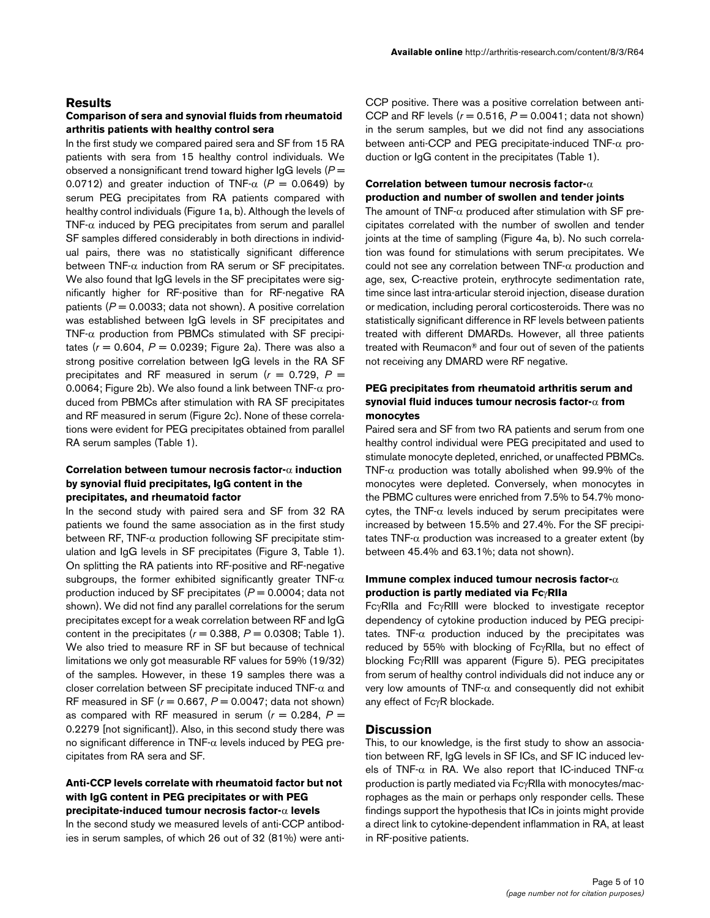#### **Results**

#### **Comparison of sera and synovial fluids from rheumatoid arthritis patients with healthy control sera**

In the first study we compared paired sera and SF from 15 RA patients with sera from 15 healthy control individuals. We observed a nonsignificant trend toward higher IgG levels (*P* = 0.0712) and greater induction of TNF- $\alpha$  ( $P = 0.0649$ ) by serum PEG precipitates from RA patients compared with healthy control individuals (Figure 1a, b). Although the levels of TNF- $\alpha$  induced by PEG precipitates from serum and parallel SF samples differed considerably in both directions in individual pairs, there was no statistically significant difference between  $TNF-\alpha$  induction from RA serum or SF precipitates. We also found that IgG levels in the SF precipitates were significantly higher for RF-positive than for RF-negative RA patients  $(P = 0.0033$ ; data not shown). A positive correlation was established between IgG levels in SF precipitates and TNF- $\alpha$  production from PBMCs stimulated with SF precipitates (*r* = 0.604, *P* = 0.0239; Figure 2a). There was also a strong positive correlation between IgG levels in the RA SF precipitates and RF measured in serum  $(r = 0.729, P =$ 0.0064; Figure 2b). We also found a link between  $TNF-\alpha$  produced from PBMCs after stimulation with RA SF precipitates and RF measured in serum (Figure 2c). None of these correlations were evident for PEG precipitates obtained from parallel RA serum samples (Table 1).

#### **Correlation between tumour necrosis factor-**α **induction by synovial fluid precipitates, IgG content in the precipitates, and rheumatoid factor**

In the second study with paired sera and SF from 32 RA patients we found the same association as in the first study between RF, TNF- $\alpha$  production following SF precipitate stimulation and IgG levels in SF precipitates (Figure 3, Table 1). On splitting the RA patients into RF-positive and RF-negative subgroups, the former exhibited significantly greater TNF- $\alpha$ production induced by SF precipitates ( $P = 0.0004$ ; data not shown). We did not find any parallel correlations for the serum precipitates except for a weak correlation between RF and IgG content in the precipitates  $(r = 0.388, P = 0.0308;$  Table 1). We also tried to measure RF in SF but because of technical limitations we only got measurable RF values for 59% (19/32) of the samples. However, in these 19 samples there was a closer correlation between SF precipitate induced TNF- $\alpha$  and RF measured in SF (*r* = 0.667, *P* = 0.0047; data not shown) as compared with RF measured in serum  $(r = 0.284, P =$ 0.2279 [not significant]). Also, in this second study there was no significant difference in TNF-α levels induced by PEG precipitates from RA sera and SF.

#### **Anti-CCP levels correlate with rheumatoid factor but not with IgG content in PEG precipitates or with PEG precipitate-induced tumour necrosis factor-**α **levels**

In the second study we measured levels of anti-CCP antibodies in serum samples, of which 26 out of 32 (81%) were anti-

# **Correlation between tumour necrosis factor-**α **production and number of swollen and tender joints**

duction or IgG content in the precipitates (Table 1).

The amount of TNF- $\alpha$  produced after stimulation with SF precipitates correlated with the number of swollen and tender joints at the time of sampling (Figure 4a, b). No such correlation was found for stimulations with serum precipitates. We could not see any correlation between TNF- $\alpha$  production and age, sex, C-reactive protein, erythrocyte sedimentation rate, time since last intra-articular steroid injection, disease duration or medication, including peroral corticosteroids. There was no statistically significant difference in RF levels between patients treated with different DMARDs. However, all three patients treated with Reumacon® and four out of seven of the patients not receiving any DMARD were RF negative.

# **PEG precipitates from rheumatoid arthritis serum and synovial fluid induces tumour necrosis factor-**α **from monocytes**

Paired sera and SF from two RA patients and serum from one healthy control individual were PEG precipitated and used to stimulate monocyte depleted, enriched, or unaffected PBMCs. TNF-α production was totally abolished when 99.9% of the monocytes were depleted. Conversely, when monocytes in the PBMC cultures were enriched from 7.5% to 54.7% monocytes, the TNF- $\alpha$  levels induced by serum precipitates were increased by between 15.5% and 27.4%. For the SF precipitates TNF- $\alpha$  production was increased to a greater extent (by between 45.4% and 63.1%; data not shown).

#### **Immune complex induced tumour necrosis factor-**α **production is partly mediated via Fc**γ**RIIa**

FcγRIIa and FcγRIII were blocked to investigate receptor dependency of cytokine production induced by PEG precipitates. TNF- $\alpha$  production induced by the precipitates was reduced by 55% with blocking of FcγRIIa, but no effect of blocking FcγRIII was apparent (Figure 5). PEG precipitates from serum of healthy control individuals did not induce any or very low amounts of TNF-α and consequently did not exhibit any effect of FcγR blockade.

### **Discussion**

This, to our knowledge, is the first study to show an association between RF, IgG levels in SF ICs, and SF IC induced levels of TNF- $\alpha$  in RA. We also report that IC-induced TNF- $\alpha$ production is partly mediated via FcγRIIa with monocytes/macrophages as the main or perhaps only responder cells. These findings support the hypothesis that ICs in joints might provide a direct link to cytokine-dependent inflammation in RA, at least in RF-positive patients.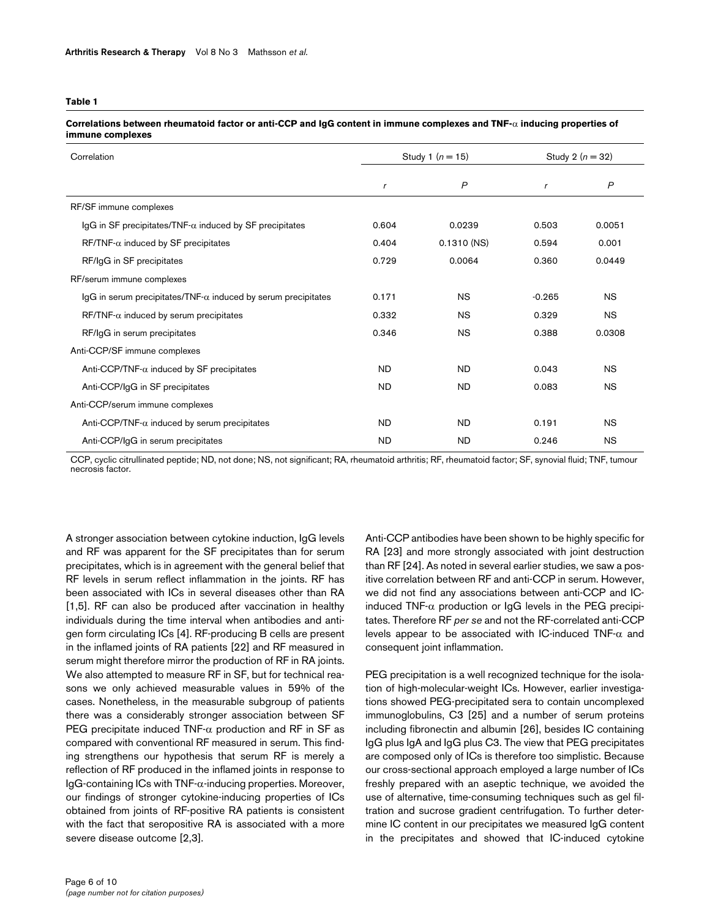#### **Table 1**

**Correlations between rheumatoid factor or anti-CCP and IgG content in immune complexes and TNF-**α **inducing properties of immune complexes**

| Correlation                                                               | Study 1 ( $n = 15$ ) |                | Study 2 ( $n = 32$ ) |                |
|---------------------------------------------------------------------------|----------------------|----------------|----------------------|----------------|
|                                                                           | $\mathbf{r}$         | $\overline{P}$ | $\mathsf{r}$         | $\overline{P}$ |
| RF/SF immune complexes                                                    |                      |                |                      |                |
| $\lg G$ in SF precipitates/TNF- $\alpha$ induced by SF precipitates       | 0.604                | 0.0239         | 0.503                | 0.0051         |
| $RF/TNF-\alpha$ induced by SF precipitates                                | 0.404                | $0.1310$ (NS)  | 0.594                | 0.001          |
| RF/IgG in SF precipitates                                                 | 0.729                | 0.0064         | 0.360                | 0.0449         |
| RF/serum immune complexes                                                 |                      |                |                      |                |
| $\lg G$ in serum precipitates/TNF- $\alpha$ induced by serum precipitates | 0.171                | <b>NS</b>      | $-0.265$             | <b>NS</b>      |
| $RF/TNF-\alpha$ induced by serum precipitates                             | 0.332                | NS.            | 0.329                | NS.            |
| RF/IgG in serum precipitates                                              | 0.346                | <b>NS</b>      | 0.388                | 0.0308         |
| Anti-CCP/SF immune complexes                                              |                      |                |                      |                |
| Anti-CCP/TNF- $\alpha$ induced by SF precipitates                         | <b>ND</b>            | ND.            | 0.043                | <b>NS</b>      |
| Anti-CCP/IgG in SF precipitates                                           | <b>ND</b>            | <b>ND</b>      | 0.083                | <b>NS</b>      |
| Anti-CCP/serum immune complexes                                           |                      |                |                      |                |
| Anti-CCP/TNF- $\alpha$ induced by serum precipitates                      | <b>ND</b>            | ND.            | 0.191                | <b>NS</b>      |
| Anti-CCP/IgG in serum precipitates                                        | <b>ND</b>            | <b>ND</b>      | 0.246                | <b>NS</b>      |

CCP, cyclic citrullinated peptide; ND, not done; NS, not significant; RA, rheumatoid arthritis; RF, rheumatoid factor; SF, synovial fluid; TNF, tumour necrosis factor.

A stronger association between cytokine induction, IgG levels and RF was apparent for the SF precipitates than for serum precipitates, which is in agreement with the general belief that RF levels in serum reflect inflammation in the joints. RF has been associated with ICs in several diseases other than RA [1,5]. RF can also be produced after vaccination in healthy individuals during the time interval when antibodies and antigen form circulating ICs [4]. RF-producing B cells are present in the inflamed joints of RA patients [22] and RF measured in serum might therefore mirror the production of RF in RA joints. We also attempted to measure RF in SF, but for technical reasons we only achieved measurable values in 59% of the cases. Nonetheless, in the measurable subgroup of patients there was a considerably stronger association between SF PEG precipitate induced TNF- $\alpha$  production and RF in SF as compared with conventional RF measured in serum. This finding strengthens our hypothesis that serum RF is merely a reflection of RF produced in the inflamed joints in response to IgG-containing ICs with TNF-α-inducing properties. Moreover, our findings of stronger cytokine-inducing properties of ICs obtained from joints of RF-positive RA patients is consistent with the fact that seropositive RA is associated with a more severe disease outcome [2,3].

Anti-CCP antibodies have been shown to be highly specific for RA [23] and more strongly associated with joint destruction than RF [24]. As noted in several earlier studies, we saw a positive correlation between RF and anti-CCP in serum. However, we did not find any associations between anti-CCP and ICinduced TNF-α production or IgG levels in the PEG precipitates. Therefore RF *per se* and not the RF-correlated anti-CCP levels appear to be associated with IC-induced  $TNF-\alpha$  and consequent joint inflammation.

PEG precipitation is a well recognized technique for the isolation of high-molecular-weight ICs. However, earlier investigations showed PEG-precipitated sera to contain uncomplexed immunoglobulins, C3 [25] and a number of serum proteins including fibronectin and albumin [26], besides IC containing IgG plus IgA and IgG plus C3. The view that PEG precipitates are composed only of ICs is therefore too simplistic. Because our cross-sectional approach employed a large number of ICs freshly prepared with an aseptic technique, we avoided the use of alternative, time-consuming techniques such as gel filtration and sucrose gradient centrifugation. To further determine IC content in our precipitates we measured IgG content in the precipitates and showed that IC-induced cytokine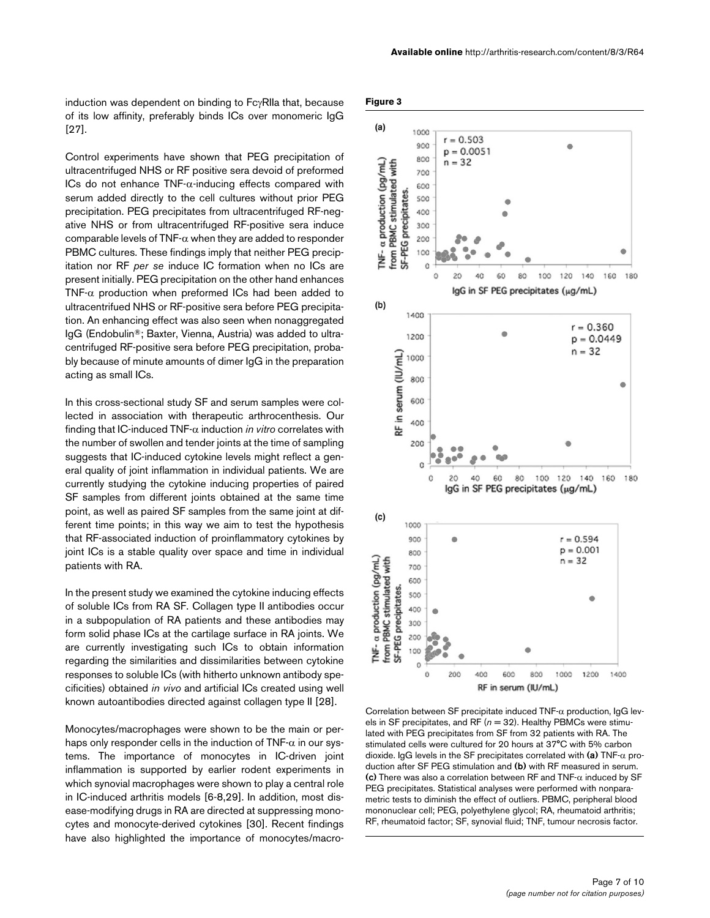induction was dependent on binding to FcγRIIa that, because of its low affinity, preferably binds ICs over monomeric IgG [27].

Control experiments have shown that PEG precipitation of ultracentrifuged NHS or RF positive sera devoid of preformed ICs do not enhance  $TNF$ - $\alpha$ -inducing effects compared with serum added directly to the cell cultures without prior PEG precipitation. PEG precipitates from ultracentrifuged RF-negative NHS or from ultracentrifuged RF-positive sera induce comparable levels of TNF- $\alpha$  when they are added to responder PBMC cultures. These findings imply that neither PEG precipitation nor RF *per se* induce IC formation when no ICs are present initially. PEG precipitation on the other hand enhances TNF- $\alpha$  production when preformed ICs had been added to ultracentrifued NHS or RF-positive sera before PEG precipitation. An enhancing effect was also seen when nonaggregated IgG (Endobulin®; Baxter, Vienna, Austria) was added to ultracentrifuged RF-positive sera before PEG precipitation, probably because of minute amounts of dimer IgG in the preparation acting as small ICs.

In this cross-sectional study SF and serum samples were collected in association with therapeutic arthrocenthesis. Our finding that IC-induced TNF-α induction *in vitro* correlates with the number of swollen and tender joints at the time of sampling suggests that IC-induced cytokine levels might reflect a general quality of joint inflammation in individual patients. We are currently studying the cytokine inducing properties of paired SF samples from different joints obtained at the same time point, as well as paired SF samples from the same joint at different time points; in this way we aim to test the hypothesis that RF-associated induction of proinflammatory cytokines by joint ICs is a stable quality over space and time in individual patients with RA.

In the present study we examined the cytokine inducing effects of soluble ICs from RA SF. Collagen type II antibodies occur in a subpopulation of RA patients and these antibodies may form solid phase ICs at the cartilage surface in RA joints. We are currently investigating such ICs to obtain information regarding the similarities and dissimilarities between cytokine responses to soluble ICs (with hitherto unknown antibody specificities) obtained *in vivo* and artificial ICs created using well known autoantibodies directed against collagen type II [28].

Monocytes/macrophages were shown to be the main or perhaps only responder cells in the induction of  $TNF-\alpha$  in our systems. The importance of monocytes in IC-driven joint inflammation is supported by earlier rodent experiments in which synovial macrophages were shown to play a central role in IC-induced arthritis models [6-8,29]. In addition, most disease-modifying drugs in RA are directed at suppressing monocytes and monocyte-derived cytokines [30]. Recent findings have also highlighted the importance of monocytes/macro-





Correlation between SF precipitate induced TNF-α production, IgG levels in SF precipitates, and RF ( $n = 32$ ). Healthy PBMCs were stimulated with PEG precipitates from SF from 32 patients with RA. The stimulated cells were cultured for 20 hours at 37°C with 5% carbon dioxide. IgG levels in the SF precipitates correlated with **(a)** TNF-α production after SF PEG stimulation and **(b)** with RF measured in serum. **(c)** There was also a correlation between RF and TNF-α induced by SF PEG precipitates. Statistical analyses were performed with nonparametric tests to diminish the effect of outliers. PBMC, peripheral blood mononuclear cell; PEG, polyethylene glycol; RA, rheumatoid arthritis; RF, rheumatoid factor; SF, synovial fluid; TNF, tumour necrosis factor.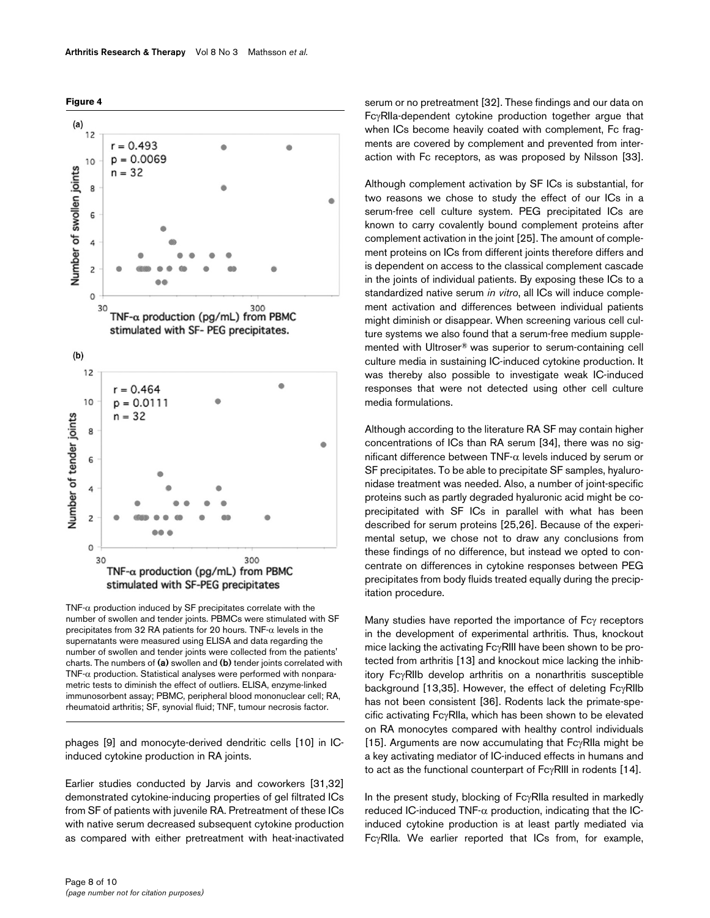



TNF- $\alpha$  production induced by SF precipitates correlate with the number of swollen and tender joints. PBMCs were stimulated with SF precipitates from 32 RA patients for 20 hours. TNF- $\alpha$  levels in the supernatants were measured using ELISA and data regarding the number of swollen and tender joints were collected from the patients' charts. The numbers of **(a)** swollen and **(b)** tender joints correlated with TNF-α production. Statistical analyses were performed with nonparametric tests to diminish the effect of outliers. ELISA, enzyme-linked immunosorbent assay; PBMC, peripheral blood mononuclear cell; RA, rheumatoid arthritis; SF, synovial fluid; TNF, tumour necrosis factor.

phages [9] and monocyte-derived dendritic cells [10] in ICinduced cytokine production in RA joints.

Earlier studies conducted by Jarvis and coworkers [\[31,](#page-9-0)32] demonstrated cytokine-inducing properties of gel filtrated ICs from SF of patients with juvenile RA. Pretreatment of these ICs with native serum decreased subsequent cytokine production as compared with either pretreatment with heat-inactivated serum or no pretreatment [32]. These findings and our data on FcγRIIa-dependent cytokine production together argue that when ICs become heavily coated with complement, Fc fragments are covered by complement and prevented from interaction with Fc receptors, as was proposed by Nilsson [33].

Although complement activation by SF ICs is substantial, for two reasons we chose to study the effect of our ICs in a serum-free cell culture system. PEG precipitated ICs are known to carry covalently bound complement proteins after complement activation in the joint [25]. The amount of complement proteins on ICs from different joints therefore differs and is dependent on access to the classical complement cascade in the joints of individual patients. By exposing these ICs to a standardized native serum *in vitro*, all ICs will induce complement activation and differences between individual patients might diminish or disappear. When screening various cell culture systems we also found that a serum-free medium supplemented with Ultroser® was superior to serum-containing cell culture media in sustaining IC-induced cytokine production. It was thereby also possible to investigate weak IC-induced responses that were not detected using other cell culture media formulations.

Although according to the literature RA SF may contain higher concentrations of ICs than RA serum [34], there was no significant difference between TNF-α levels induced by serum or SF precipitates. To be able to precipitate SF samples, hyaluronidase treatment was needed. Also, a number of joint-specific proteins such as partly degraded hyaluronic acid might be coprecipitated with SF ICs in parallel with what has been described for serum proteins [25,26]. Because of the experimental setup, we chose not to draw any conclusions from these findings of no difference, but instead we opted to concentrate on differences in cytokine responses between PEG precipitates from body fluids treated equally during the precipitation procedure.

Many studies have reported the importance of Fcγ receptors in the development of experimental arthritis. Thus, knockout mice lacking the activating FcγRIII have been shown to be protected from arthritis [13] and knockout mice lacking the inhibitory FcγRIIb develop arthritis on a nonarthritis susceptible background [13,35]. However, the effect of deleting FcγRIIb has not been consistent [36]. Rodents lack the primate-specific activating FcγRIIa, which has been shown to be elevated on RA monocytes compared with healthy control individuals [15]. Arguments are now accumulating that FcγRIIa might be a key activating mediator of IC-induced effects in humans and to act as the functional counterpart of FcγRIII in rodents [14].

In the present study, blocking of FcγRIIa resulted in markedly reduced IC-induced TNF- $\alpha$  production, indicating that the ICinduced cytokine production is at least partly mediated via FcγRIIa. We earlier reported that ICs from, for example,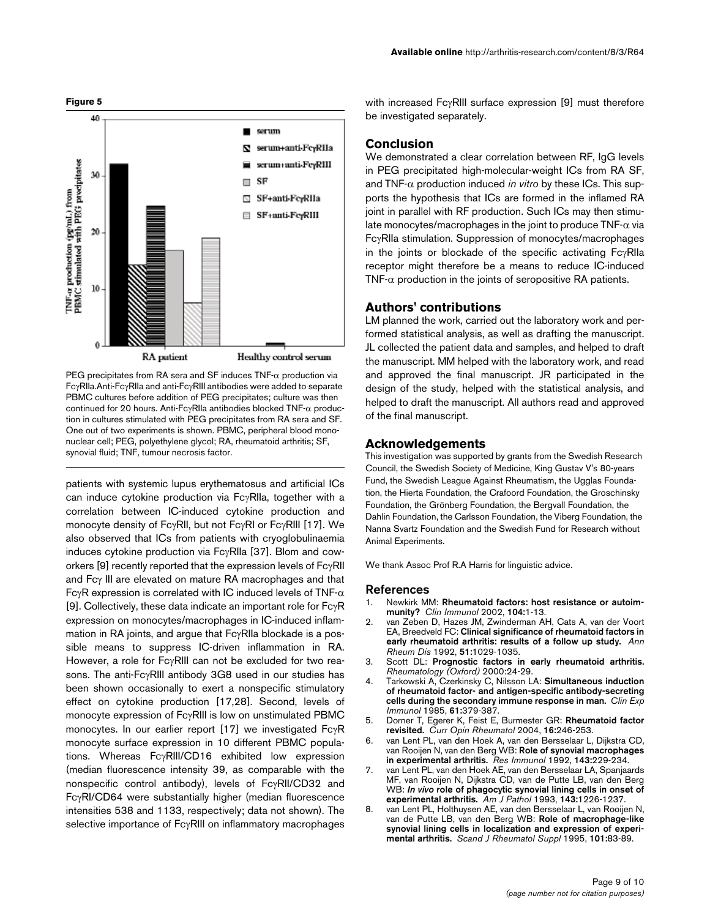

PEG precipitates from RA sera and SF induces TNF- $\alpha$  production via FcγRIIa.Anti-FcγRIIa and anti-FcγRIII antibodies were added to separate PBMC cultures before addition of PEG precipitates; culture was then continued for 20 hours. Anti-FcγRIIa antibodies blocked TNF-α production in cultures stimulated with PEG precipitates from RA sera and SF. One out of two experiments is shown. PBMC, peripheral blood mononuclear cell; PEG, polyethylene glycol; RA, rheumatoid arthritis; SF, synovial fluid; TNF, tumour necrosis factor.

patients with systemic lupus erythematosus and artificial ICs can induce cytokine production via FcγRIIa, together with a correlation between IC-induced cytokine production and monocyte density of FcγRII, but not FcγRI or FcγRIII [17]. We also observed that ICs from patients with cryoglobulinaemia induces cytokine production via FcγRIIa [37]. Blom and coworkers [9] recently reported that the expression levels of FcγRII and Fcγ III are elevated on mature RA macrophages and that FcγR expression is correlated with IC induced levels of TNF- $\alpha$ [9]. Collectively, these data indicate an important role for FcγR expression on monocytes/macrophages in IC-induced inflammation in RA joints, and argue that FcγRIIa blockade is a possible means to suppress IC-driven inflammation in RA. However, a role for FcγRIII can not be excluded for two reasons. The anti-FcγRIII antibody 3G8 used in our studies has been shown occasionally to exert a nonspecific stimulatory effect on cytokine production [17,28]. Second, levels of monocyte expression of FcγRIII is low on unstimulated PBMC monocytes. In our earlier report [17] we investigated FcγR monocyte surface expression in 10 different PBMC populations. Whereas FcγRIII/CD16 exhibited low expression (median fluorescence intensity 39, as comparable with the nonspecific control antibody), levels of FcγRII/CD32 and FcγRI/CD64 were substantially higher (median fluorescence intensities 538 and 1133, respectively; data not shown). The selective importance of FcγRIII on inflammatory macrophages

with increased FcγRIII surface expression [9] must therefore be investigated separately.

#### **Conclusion**

We demonstrated a clear correlation between RF, IgG levels in PEG precipitated high-molecular-weight ICs from RA SF, and TNF-α production induced *in vitro* by these ICs. This supports the hypothesis that ICs are formed in the inflamed RA joint in parallel with RF production. Such ICs may then stimulate monocytes/macrophages in the joint to produce  $TNF-\alpha$  via FcγRIIa stimulation. Suppression of monocytes/macrophages in the joints or blockade of the specific activating FcγRIIa receptor might therefore be a means to reduce IC-induced TNF- $\alpha$  production in the joints of seropositive RA patients.

#### **Authors' contributions**

LM planned the work, carried out the laboratory work and performed statistical analysis, as well as drafting the manuscript. JL collected the patient data and samples, and helped to draft the manuscript. MM helped with the laboratory work, and read and approved the final manuscript. JR participated in the design of the study, helped with the statistical analysis, and helped to draft the manuscript. All authors read and approved of the final manuscript.

#### **Acknowledgements**

This investigation was supported by grants from the Swedish Research Council, the Swedish Society of Medicine, King Gustav V's 80-years Fund, the Swedish League Against Rheumatism, the Ugglas Foundation, the Hierta Foundation, the Crafoord Foundation, the Groschinsky Foundation, the Grönberg Foundation, the Bergvall Foundation, the Dahlin Foundation, the Carlsson Foundation, the Viberg Foundation, the Nanna Svartz Foundation and the Swedish Fund for Research without Animal Experiments.

We thank Assoc Prof R.A Harris for linguistic advice.

#### **References**

- 1. Newkirk MM: **[Rheumatoid factors: host resistance or autoim](http://www.ncbi.nlm.nih.gov/entrez/query.fcgi?cmd=Retrieve&db=PubMed&dopt=Abstract&list_uids=12139942)[munity?](http://www.ncbi.nlm.nih.gov/entrez/query.fcgi?cmd=Retrieve&db=PubMed&dopt=Abstract&list_uids=12139942)** *Clin Immunol* 2002, **104:**1-13.
- 2. van Zeben D, Hazes JM, Zwinderman AH, Cats A, van der Voort EA, Breedveld FC: **[Clinical significance of rheumatoid factors in](http://www.ncbi.nlm.nih.gov/entrez/query.fcgi?cmd=Retrieve&db=PubMed&dopt=Abstract&list_uids=1417131) [early rheumatoid arthritis: results of a follow up study.](http://www.ncbi.nlm.nih.gov/entrez/query.fcgi?cmd=Retrieve&db=PubMed&dopt=Abstract&list_uids=1417131)** *Ann Rheum Dis* 1992, **51:**1029-1035.
- 3. Scott DL: **[Prognostic factors in early rheumatoid arthritis.](http://www.ncbi.nlm.nih.gov/entrez/query.fcgi?cmd=Retrieve&db=PubMed&dopt=Abstract&list_uids=11001376)** *Rheumatology (Oxford)* 2000:24-29.
- 4. Tarkowski A, Czerkinsky C, Nilsson LA: **[Simultaneous induction](http://www.ncbi.nlm.nih.gov/entrez/query.fcgi?cmd=Retrieve&db=PubMed&dopt=Abstract&list_uids=2412746) [of rheumatoid factor- and antigen-specific antibody-secreting](http://www.ncbi.nlm.nih.gov/entrez/query.fcgi?cmd=Retrieve&db=PubMed&dopt=Abstract&list_uids=2412746) [cells during the secondary immune response in man.](http://www.ncbi.nlm.nih.gov/entrez/query.fcgi?cmd=Retrieve&db=PubMed&dopt=Abstract&list_uids=2412746)** *Clin Exp Immunol* 1985, **61:**379-387.
- 5. Dorner T, Egerer K, Feist E, Burmester GR: **[Rheumatoid factor](http://www.ncbi.nlm.nih.gov/entrez/query.fcgi?cmd=Retrieve&db=PubMed&dopt=Abstract&list_uids=15103252) [revisited.](http://www.ncbi.nlm.nih.gov/entrez/query.fcgi?cmd=Retrieve&db=PubMed&dopt=Abstract&list_uids=15103252)** *Curr Opin Rheumatol* 2004, **16:**246-253.
- 6. van Lent PL, van den Hoek A, van den Bersselaar L, Dijkstra CD, van Rooijen N, van den Berg WB: **[Role of synovial macrophages](http://www.ncbi.nlm.nih.gov/entrez/query.fcgi?cmd=Retrieve&db=PubMed&dopt=Abstract&list_uids=1574652) [in experimental arthritis.](http://www.ncbi.nlm.nih.gov/entrez/query.fcgi?cmd=Retrieve&db=PubMed&dopt=Abstract&list_uids=1574652)** *Res Immunol* 1992, **143:**229-234.
- 7. van Lent PL, van den Hoek AE, van den Bersselaar LA, Spanjaards MF, van Rooijen N, Dijkstra CD, van de Putte LB, van den Berg WB: *In vivo* **[role of phagocytic synovial lining cells in onset of](http://www.ncbi.nlm.nih.gov/entrez/query.fcgi?cmd=Retrieve&db=PubMed&dopt=Abstract&list_uids=8214013) [experimental arthritis.](http://www.ncbi.nlm.nih.gov/entrez/query.fcgi?cmd=Retrieve&db=PubMed&dopt=Abstract&list_uids=8214013)** *Am J Pathol* 1993, **143:**1226-1237.
- 8. van Lent PL, Holthuysen AE, van den Bersselaar L, van Rooijen N, van de Putte LB, van den Berg WB: **[Role of macrophage-like](http://www.ncbi.nlm.nih.gov/entrez/query.fcgi?cmd=Retrieve&db=PubMed&dopt=Abstract&list_uids=7747137) [synovial lining cells in localization and expression of experi](http://www.ncbi.nlm.nih.gov/entrez/query.fcgi?cmd=Retrieve&db=PubMed&dopt=Abstract&list_uids=7747137)[mental arthritis.](http://www.ncbi.nlm.nih.gov/entrez/query.fcgi?cmd=Retrieve&db=PubMed&dopt=Abstract&list_uids=7747137)** *Scand J Rheumatol Suppl* 1995, **101:**83-89.